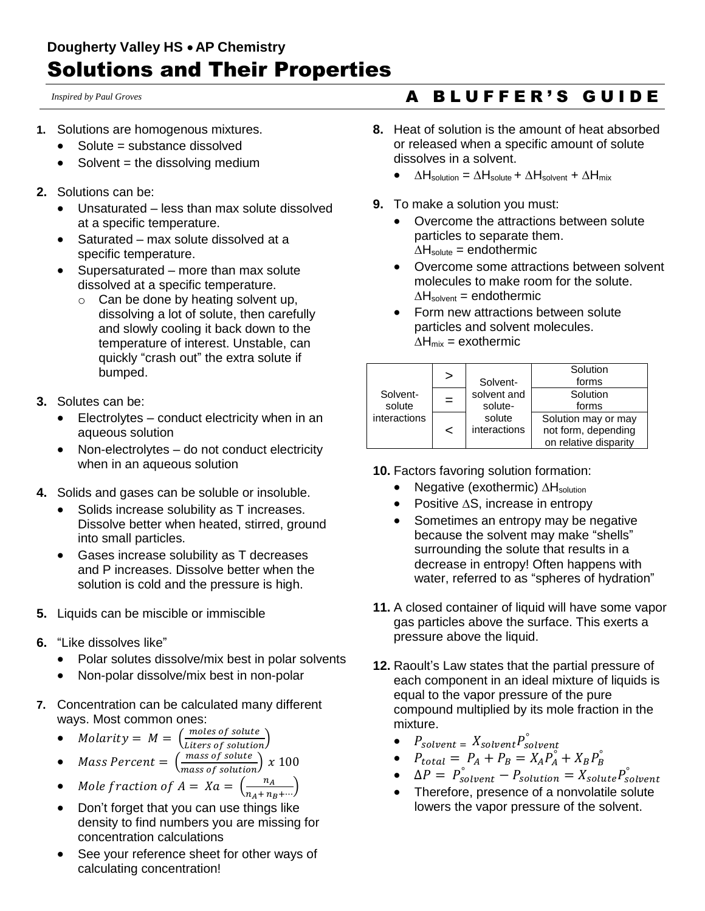*Inspired by Paul Groves*

- **1.** Solutions are homogenous mixtures.
	- Solute = substance dissolved
	- $\bullet$  Solvent = the dissolving medium
- **2.** Solutions can be:
	- Unsaturated less than max solute dissolved at a specific temperature.
	- Saturated max solute dissolved at a specific temperature.
	- Supersaturated more than max solute dissolved at a specific temperature.
		- $\circ$  Can be done by heating solvent up, dissolving a lot of solute, then carefully and slowly cooling it back down to the temperature of interest. Unstable, can quickly "crash out" the extra solute if bumped.
- **3.** Solutes can be:
	- Electrolytes conduct electricity when in an aqueous solution
	- Non-electrolytes do not conduct electricity when in an aqueous solution
- **4.** Solids and gases can be soluble or insoluble.
	- Solids increase solubility as T increases. Dissolve better when heated, stirred, ground into small particles.
	- Gases increase solubility as T decreases and P increases. Dissolve better when the solution is cold and the pressure is high.
- **5.** Liquids can be miscible or immiscible
- **6.** "Like dissolves like"
	- Polar solutes dissolve/mix best in polar solvents
	- Non-polar dissolve/mix best in non-polar
- **7.** Concentration can be calculated many different ways. Most common ones:
	- Molarity =  $M = \left(\frac{moles\ of\ solute}{Liters\ of\ solution}\right)$

• Mass Percent = 
$$
\left(\frac{mass\ of\ solute}{mass\ of\ solution}\right) x 100
$$

• *Mole fraction of A* = 
$$
Xa = \left(\frac{n_A}{n_A + n_B + \cdots}\right)
$$

- Don't forget that you can use things like density to find numbers you are missing for concentration calculations
- See your reference sheet for other ways of calculating concentration!

## A B L U F F E R ' S G U I D E

- **8.** Heat of solution is the amount of heat absorbed or released when a specific amount of solute dissolves in a solvent.
	- ∆Hsolution = ∆Hsolute + ∆Hsolvent + ∆Hmix
- **9.** To make a solution you must:
	- Overcome the attractions between solute particles to separate them. ∆Hsolute = endothermic
	- Overcome some attractions between solvent molecules to make room for the solute.  $\Delta H_{\text{solvent}} = \text{endothermic}$
	- Form new attractions between solute particles and solvent molecules.  $\Delta H_{mix}$  = exothermic

| Solvent-<br>solute<br>interactions | >   | Solvent-               | Solution<br>forms                                                   |
|------------------------------------|-----|------------------------|---------------------------------------------------------------------|
|                                    | $=$ | solvent and<br>solute- | Solution<br>forms                                                   |
|                                    | <   | solute<br>interactions | Solution may or may<br>not form, depending<br>on relative disparity |

## **10.** Factors favoring solution formation:

- Negative (exothermic) ∆H<sub>solution</sub>
- Positive ∆S, increase in entropy
- Sometimes an entropy may be negative because the solvent may make "shells" surrounding the solute that results in a decrease in entropy! Often happens with water, referred to as "spheres of hydration"
- **11.** A closed container of liquid will have some vapor gas particles above the surface. This exerts a pressure above the liquid.
- **12.** Raoult's Law states that the partial pressure of each component in an ideal mixture of liquids is equal to the vapor pressure of the pure compound multiplied by its mole fraction in the mixture.
	- $P_{solvent} = X_{solvent} P_{solvent}^{\circ}$
	- $P_{total} = P_A + P_B = X_A P_A^{\circ} + X_B P_B^{\circ}$
	- $\Delta P = P_{solvent}^{\circ} P_{solution} = X_{solute} P_{solvent}^{\circ}$
	- Therefore, presence of a nonvolatile solute lowers the vapor pressure of the solvent.